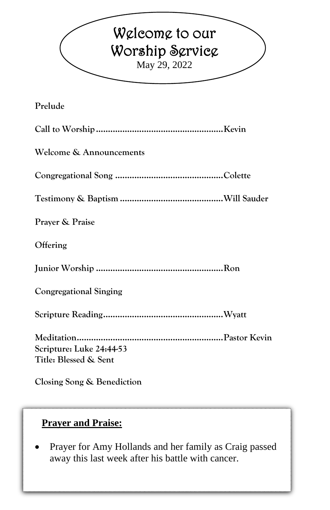# Welcome to our Worship Service May 29, 2022 **Prelude Call to Worship.....................................................Kevin Welcome & Announcements Congregational Song .............................................Colette Testimony & Baptism ...........................................Will Sauder Prayer & Praise Offering Junior Worship .....................................................Ron Congregational Singing Scripture Reading..................................................Wyatt**

**Meditation.............................................................Pastor Kevin Scripture: Luke 24:44-53 Title: Blessed & Sent**

**Closing Song & Benediction**

### **Prayer and Praise:**

• Prayer for Amy Hollands and her family as Craig passed away this last week after his battle with cancer.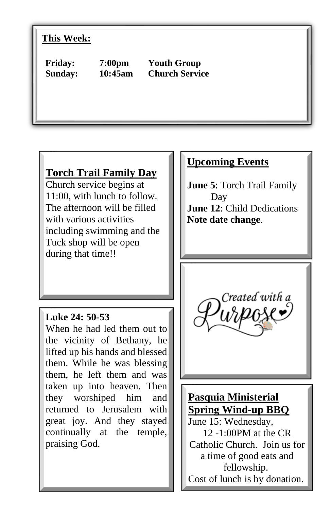#### **This Week:**

**Friday: 7:00pm Youth Group Sunday: 10:45am Church Service**

# **Torch Trail Family Day**

Church service begins at 11:00, with lunch to follow. The afternoon will be filled with various activities including swimming and the Tuck shop will be open during that time!!

#### **Luke 24: 50-53**

When he had led them out to the vicinity of Bethany, he lifted up his hands and blessed them. While he was blessing them, he left them and was taken up into heaven. Then they worshiped him and returned to Jerusalem with great joy. And they stayed continually at the temple, praising God.

#### **Upcoming Events**

**June 5**: Torch Trail Family Day **June 12**: Child Dedications **Note date change**.



# **Pasquia Ministerial Spring Wind-up BBQ**

June 15: Wednesday, 12 -1:00PM at the CR Catholic Church. Join us for a time of good eats and fellowship. Cost of lunch is by donation.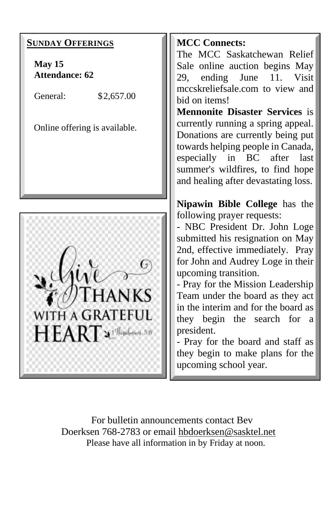

For bulletin announcements contact Bev Doerksen 768-2783 or email [hbdoerksen@sasktel.net](mailto:hbdoerksen@sasktel.net) Please have all information in by Friday at noon.